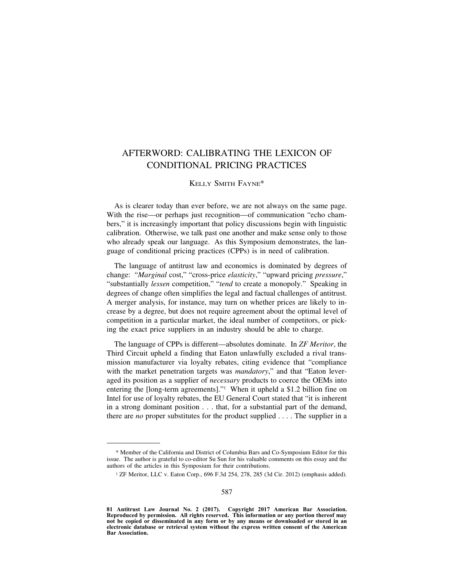## AFTERWORD: CALIBRATING THE LEXICON OF CONDITIONAL PRICING PRACTICES

## KELLY SMITH FAYNE\*

As is clearer today than ever before, we are not always on the same page. With the rise—or perhaps just recognition—of communication "echo chambers," it is increasingly important that policy discussions begin with linguistic calibration. Otherwise, we talk past one another and make sense only to those who already speak our language. As this Symposium demonstrates, the language of conditional pricing practices (CPPs) is in need of calibration.

The language of antitrust law and economics is dominated by degrees of change: "*Marginal* cost," "cross-price *elasticity*," "upward pricing *pressure*," "substantially *lessen* competition," "*tend* to create a monopoly." Speaking in degrees of change often simplifies the legal and factual challenges of antitrust. A merger analysis, for instance, may turn on whether prices are likely to increase by a degree, but does not require agreement about the optimal level of competition in a particular market, the ideal number of competitors, or picking the exact price suppliers in an industry should be able to charge.

The language of CPPs is different—absolutes dominate. In *ZF Meritor*, the Third Circuit upheld a finding that Eaton unlawfully excluded a rival transmission manufacturer via loyalty rebates, citing evidence that "compliance with the market penetration targets was *mandatory*," and that "Eaton leveraged its position as a supplier of *necessary* products to coerce the OEMs into entering the [long-term agreements]."1 When it upheld a \$1.2 billion fine on Intel for use of loyalty rebates, the EU General Court stated that "it is inherent in a strong dominant position . . . that, for a substantial part of the demand, there are *no* proper substitutes for the product supplied . . . . The supplier in a

<sup>\*</sup> Member of the California and District of Columbia Bars and Co-Symposium Editor for this issue. The author is grateful to co-editor Su Sun for his valuable comments on this essay and the authors of the articles in this Symposium for their contributions.

<sup>&</sup>lt;sup>1</sup> ZF Meritor, LLC v. Eaton Corp., 696 F.3d 254, 278, 285 (3d Cir. 2012) (emphasis added).

**<sup>81</sup> Antitrust Law Journal No. 2 (2017). Copyright 2017 American Bar Association. Reproduced by permission. All rights reserved. This information or any portion thereof may not be copied or disseminated in any form or by any means or downloaded or stored in an electronic database or retrieval system without the express written consent of the American Bar Association.**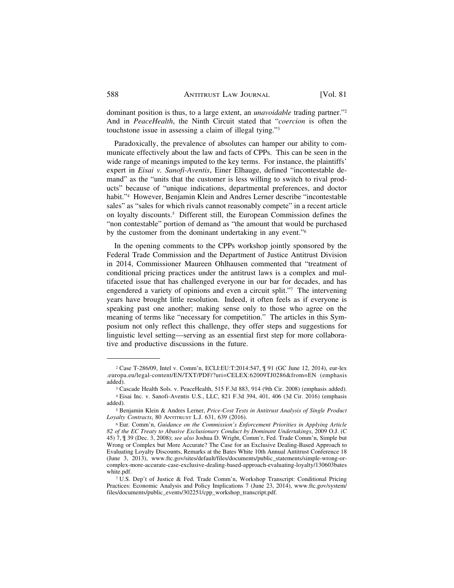dominant position is thus, to a large extent, an *unavoidable* trading partner."2 And in *PeaceHealth*, the Ninth Circuit stated that "*coercion* is often the touchstone issue in assessing a claim of illegal tying."3

Paradoxically, the prevalence of absolutes can hamper our ability to communicate effectively about the law and facts of CPPs. This can be seen in the wide range of meanings imputed to the key terms. For instance, the plaintiffs' expert in *Eisai v. Sanofi-Aventis*, Einer Elhauge, defined "incontestable demand" as the "units that the customer is less willing to switch to rival products" because of "unique indications, departmental preferences, and doctor habit."4 However, Benjamin Klein and Andres Lerner describe "incontestable sales" as "sales for which rivals cannot reasonably compete" in a recent article on loyalty discounts.5 Different still, the European Commission defines the "non contestable" portion of demand as "the amount that would be purchased by the customer from the dominant undertaking in any event."6

In the opening comments to the CPPs workshop jointly sponsored by the Federal Trade Commission and the Department of Justice Antitrust Division in 2014, Commissioner Maureen Ohlhausen commented that "treatment of conditional pricing practices under the antitrust laws is a complex and multifaceted issue that has challenged everyone in our bar for decades, and has engendered a variety of opinions and even a circuit split."7 The intervening years have brought little resolution. Indeed, it often feels as if everyone is speaking past one another; making sense only to those who agree on the meaning of terms like "necessary for competition." The articles in this Symposium not only reflect this challenge, they offer steps and suggestions for linguistic level setting—serving as an essential first step for more collaborative and productive discussions in the future.

<sup>2</sup> Case T-286/09, Intel v. Comm'n, ECLI:EU:T:2014:547, ¶ 91 (GC June 12, 2014), eur-lex .europa.eu/legal-content/EN/TXT/PDF/?uri=CELEX:62009TJ0286&from=EN (emphasis added).

<sup>3</sup> Cascade Health Sols. v. PeaceHealth, 515 F.3d 883, 914 (9th Cir. 2008) (emphasis added). <sup>4</sup> Eisai Inc. v. Sanofi-Aventis U.S., LLC, 821 F.3d 394, 401, 406 (3d Cir. 2016) (emphasis added).

<sup>5</sup> Benjamin Klein & Andres Lerner, *Price-Cost Tests in Antitrust Analysis of Single Product Loyalty Contracts*, 80 ANTITRUST L.J. 631, 639 (2016).

<sup>6</sup> Eur. Comm'n, *Guidance on the Commission's Enforcement Priorities in Applying Article 82 of the EC Treaty to Abusive Exclusionary Conduct by Dominant Undertakings*, 2009 O.J. (C 45) 7, ¶ 39 (Dec. 3, 2008); *see also* Joshua D. Wright, Comm'r, Fed. Trade Comm'n, Simple but Wrong or Complex but More Accurate? The Case for an Exclusive Dealing-Based Approach to Evaluating Loyalty Discounts, Remarks at the Bates White 10th Annual Antitrust Conference 18 (June 3, 2013), www.ftc.gov/sites/default/files/documents/public\_statements/simple-wrong-orcomplex-more-accurate-case-exclusive-dealing-based-approach-evaluating-loyalty/130603bates white.pdf.

<sup>7</sup> U.S. Dep't of Justice & Fed. Trade Comm'n, Workshop Transcript: Conditional Pricing Practices: Economic Analysis and Policy Implications 7 (June 23, 2014), www.ftc.gov/system/ files/documents/public\_events/302251/cpp\_workshop\_transcript.pdf.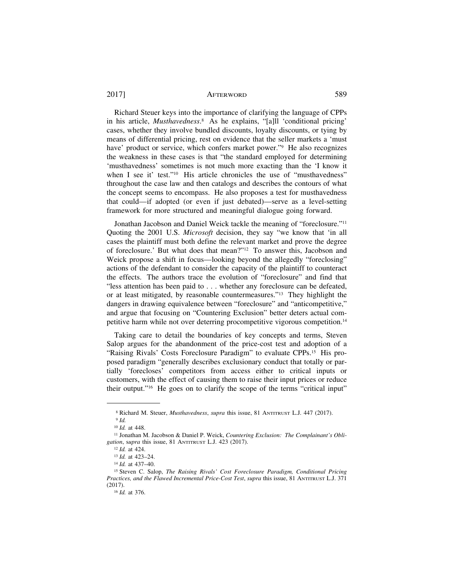## 2017] **AFTERWORD** 589

Richard Steuer keys into the importance of clarifying the language of CPPs in his article, *Musthavedness*. 8 As he explains, "[a]ll 'conditional pricing' cases, whether they involve bundled discounts, loyalty discounts, or tying by means of differential pricing, rest on evidence that the seller markets a 'must have' product or service, which confers market power."<sup>9</sup> He also recognizes the weakness in these cases is that "the standard employed for determining 'musthavedness' sometimes is not much more exacting than the 'I know it when I see it' test."<sup>10</sup> His article chronicles the use of "musthavedness" throughout the case law and then catalogs and describes the contours of what the concept seems to encompass. He also proposes a test for musthavedness that could—if adopted (or even if just debated)—serve as a level-setting framework for more structured and meaningful dialogue going forward.

Jonathan Jacobson and Daniel Weick tackle the meaning of "foreclosure."11 Quoting the 2001 U.S. *Microsoft* decision, they say "we know that 'in all cases the plaintiff must both define the relevant market and prove the degree of foreclosure.' But what does that mean?"12 To answer this, Jacobson and Weick propose a shift in focus—looking beyond the allegedly "foreclosing" actions of the defendant to consider the capacity of the plaintiff to counteract the effects. The authors trace the evolution of "foreclosure" and find that "less attention has been paid to . . . whether any foreclosure can be defeated, or at least mitigated, by reasonable countermeasures."13 They highlight the dangers in drawing equivalence between "foreclosure" and "anticompetitive," and argue that focusing on "Countering Exclusion" better deters actual competitive harm while not over deterring procompetitive vigorous competition.14

Taking care to detail the boundaries of key concepts and terms, Steven Salop argues for the abandonment of the price-cost test and adoption of a "Raising Rivals' Costs Foreclosure Paradigm" to evaluate CPPs.15 His proposed paradigm "generally describes exclusionary conduct that totally or partially 'forecloses' competitors from access either to critical inputs or customers, with the effect of causing them to raise their input prices or reduce their output."16 He goes on to clarify the scope of the terms "critical input"

<sup>8</sup> Richard M. Steuer, *Musthavedness*, *supra* this issue, 81 ANTITRUST L.J. 447 (2017).

<sup>9</sup> *Id.*

<sup>10</sup> *Id.* at 448.

<sup>11</sup> Jonathan M. Jacobson & Daniel P. Weick, *Countering Exclusion: The Complainant's Obligation*, s*upra* this issue, 81 ANTITRUST L.J. 423 (2017).

<sup>12</sup> *Id.* at 424.

<sup>13</sup> *Id.* at 423–24.

<sup>14</sup> *Id.* at 437–40.

<sup>15</sup> Steven C. Salop, *The Raising Rivals' Cost Foreclosure Paradigm, Conditional Pricing Practices, and the Flawed Incremental Price-Cost Test*, *supra* this issue, 81 ANTITRUST L.J. 371 (2017).

<sup>16</sup> *Id.* at 376.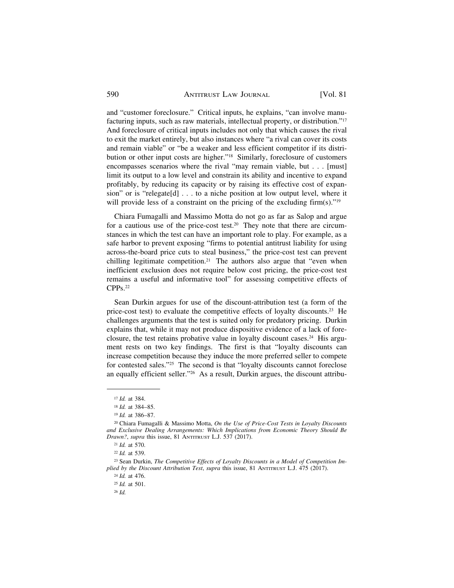and "customer foreclosure." Critical inputs, he explains, "can involve manufacturing inputs, such as raw materials, intellectual property, or distribution."17 And foreclosure of critical inputs includes not only that which causes the rival to exit the market entirely, but also instances where "a rival can cover its costs and remain viable" or "be a weaker and less efficient competitor if its distribution or other input costs are higher."18 Similarly, foreclosure of customers encompasses scenarios where the rival "may remain viable, but . . . [must] limit its output to a low level and constrain its ability and incentive to expand profitably, by reducing its capacity or by raising its effective cost of expansion" or is "relegate[d] . . . to a niche position at low output level, where it will provide less of a constraint on the pricing of the excluding firm(s)."<sup>19</sup>

Chiara Fumagalli and Massimo Motta do not go as far as Salop and argue for a cautious use of the price-cost test.<sup>20</sup> They note that there are circumstances in which the test can have an important role to play. For example, as a safe harbor to prevent exposing "firms to potential antitrust liability for using across-the-board price cuts to steal business," the price-cost test can prevent chilling legitimate competition.<sup>21</sup> The authors also argue that "even when inefficient exclusion does not require below cost pricing, the price-cost test remains a useful and informative tool" for assessing competitive effects of CPPs.22

Sean Durkin argues for use of the discount-attribution test (a form of the price-cost test) to evaluate the competitive effects of loyalty discounts.23 He challenges arguments that the test is suited only for predatory pricing. Durkin explains that, while it may not produce dispositive evidence of a lack of foreclosure, the test retains probative value in loyalty discount cases.24 His argument rests on two key findings. The first is that "loyalty discounts can increase competition because they induce the more preferred seller to compete for contested sales."25 The second is that "loyalty discounts cannot foreclose an equally efficient seller."26 As a result, Durkin argues, the discount attribu-

<sup>17</sup> *Id.* at 384.

<sup>18</sup> *Id.* at 384–85.

<sup>19</sup> *Id.* at 386–87.

<sup>20</sup> Chiara Fumagalli & Massimo Motta, *On the Use of Price-Cost Tests in Loyalty Discounts and Exclusive Dealing Arrangements: Which Implications from Economic Theory Should Be Drawn?*, *supra* this issue, 81 ANTITRUST L.J. 537 (2017).

<sup>21</sup> *Id.* at 570.

<sup>22</sup> *Id.* at 539.

<sup>23</sup> Sean Durkin, *The Competitive Effects of Loyalty Discounts in a Model of Competition Implied by the Discount Attribution Test*, *supra* this issue, 81 ANTITRUST L.J. 475 (2017).

<sup>24</sup> *Id.* at 476.

<sup>25</sup> *Id.* at 501.

<sup>26</sup> *Id.*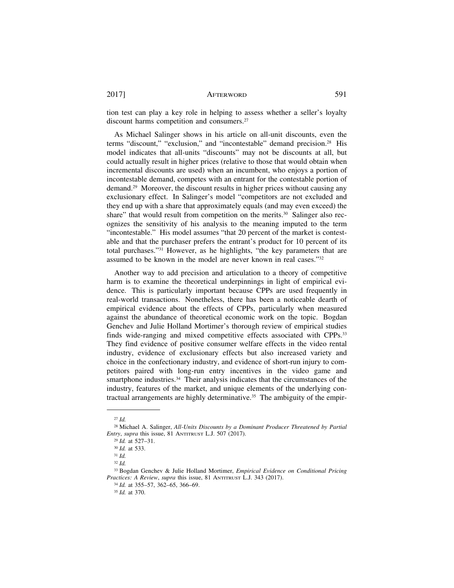2017] AFTERWORD 591

tion test can play a key role in helping to assess whether a seller's loyalty discount harms competition and consumers.<sup>27</sup>

As Michael Salinger shows in his article on all-unit discounts, even the terms "discount," "exclusion," and "incontestable" demand precision.28 His model indicates that all-units "discounts" may not be discounts at all, but could actually result in higher prices (relative to those that would obtain when incremental discounts are used) when an incumbent, who enjoys a portion of incontestable demand, competes with an entrant for the contestable portion of demand.29 Moreover, the discount results in higher prices without causing any exclusionary effect. In Salinger's model "competitors are not excluded and they end up with a share that approximately equals (and may even exceed) the share" that would result from competition on the merits.<sup>30</sup> Salinger also recognizes the sensitivity of his analysis to the meaning imputed to the term "incontestable." His model assumes "that 20 percent of the market is contestable and that the purchaser prefers the entrant's product for 10 percent of its total purchases."31 However, as he highlights, "the key parameters that are assumed to be known in the model are never known in real cases."32

Another way to add precision and articulation to a theory of competitive harm is to examine the theoretical underpinnings in light of empirical evidence. This is particularly important because CPPs are used frequently in real-world transactions. Nonetheless, there has been a noticeable dearth of empirical evidence about the effects of CPPs, particularly when measured against the abundance of theoretical economic work on the topic. Bogdan Genchev and Julie Holland Mortimer's thorough review of empirical studies finds wide-ranging and mixed competitive effects associated with CPPs.33 They find evidence of positive consumer welfare effects in the video rental industry, evidence of exclusionary effects but also increased variety and choice in the confectionary industry, and evidence of short-run injury to competitors paired with long-run entry incentives in the video game and smartphone industries.<sup>34</sup> Their analysis indicates that the circumstances of the industry, features of the market, and unique elements of the underlying contractual arrangements are highly determinative.<sup>35</sup> The ambiguity of the empir-

<sup>27</sup> *Id.*

<sup>28</sup> Michael A. Salinger, *All-Units Discounts by a Dominant Producer Threatened by Partial Entry*, *supra* this issue, 81 ANTITRUST L.J. 507 (2017).

<sup>29</sup> *Id.* at 527–31.

<sup>30</sup> *Id.* at 533.

<sup>31</sup> *Id.*

<sup>32</sup> *Id.*

<sup>33</sup> Bogdan Genchev & Julie Holland Mortimer, *Empirical Evidence on Conditional Pricing Practices: A Review*, *supra* this issue, 81 ANTITRUST L.J. 343 (2017).

<sup>34</sup> *Id.* at 355–57, 362–65, 366–69.

<sup>35</sup> *Id.* at 370.